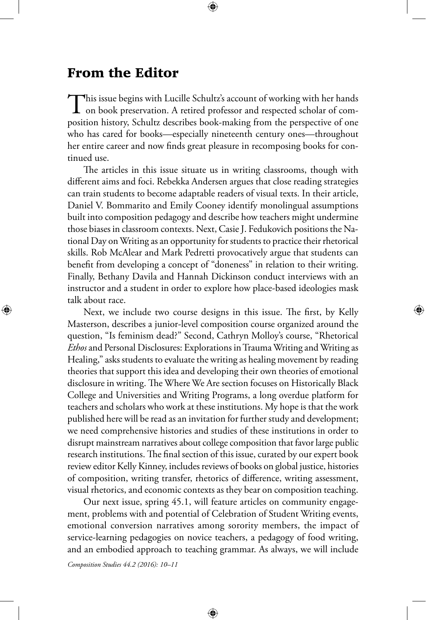## From the Editor

⊕

This issue begins with Lucille Schultz's account of working with her hands<br>on book preservation. A retired professor and respected scholar of composition history, Schultz describes book-making from the perspective of one who has cared for books—especially nineteenth century ones—throughout her entire career and now finds great pleasure in recomposing books for continued use.

The articles in this issue situate us in writing classrooms, though with different aims and foci. Rebekka Andersen argues that close reading strategies can train students to become adaptable readers of visual texts. In their article, Daniel V. Bommarito and Emily Cooney identify monolingual assumptions built into composition pedagogy and describe how teachers might undermine those biases in classroom contexts. Next, Casie J. Fedukovich positions the National Day on Writing as an opportunity for students to practice their rhetorical skills. Rob McAlear and Mark Pedretti provocatively argue that students can benefit from developing a concept of "doneness" in relation to their writing. Finally, Bethany Davila and Hannah Dickinson conduct interviews with an instructor and a student in order to explore how place-based ideologies mask talk about race.

Next, we include two course designs in this issue. The first, by Kelly Masterson, describes a junior-level composition course organized around the question, "Is feminism dead?" Second, Cathryn Molloy's course, "Rhetorical *Ethos* and Personal Disclosures: Explorations in Trauma Writing and Writing as Healing," asks students to evaluate the writing as healing movement by reading theories that support this idea and developing their own theories of emotional disclosure in writing. The Where We Are section focuses on Historically Black College and Universities and Writing Programs, a long overdue platform for teachers and scholars who work at these institutions. My hope is that the work published here will be read as an invitation for further study and development; we need comprehensive histories and studies of these institutions in order to disrupt mainstream narratives about college composition that favor large public research institutions. The final section of this issue, curated by our expert book review editor Kelly Kinney, includes reviews of books on global justice, histories of composition, writing transfer, rhetorics of difference, writing assessment, visual rhetorics, and economic contexts as they bear on composition teaching.

Our next issue, spring 45.1, will feature articles on community engagement, problems with and potential of Celebration of Student Writing events, emotional conversion narratives among sorority members, the impact of service-learning pedagogies on novice teachers, a pedagogy of food writing, and an embodied approach to teaching grammar. As always, we will include

⊕

*Composition Studies 44.2 (2016): 10–11*